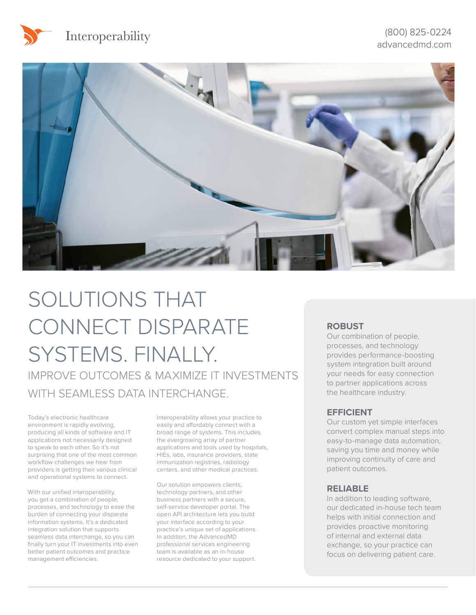



# SOLUTIONS THAT CONNECT DISPARATE SYSTEMS. FINALLY. IMPROVE OUTCOMES & MAXIMIZE IT INVESTMENTS WITH SEAMLESS DATA INTERCHANGE.

Today's electronic healthcare environment is rapidly evolving, producing all kinds of software and IT applications not necessarily designed to speak to each other. So it's not surprising that one of the most common workflow challenges we hear from providers is getting their various clinical and operational systems to connect.

With our unified interoperability, you get a combination of people, processes, and technology to ease the burden of connecting your disparate information systems. It's a dedicated integration solution that supports seamless data interchange, so you can finally turn your IT investments into even better patient outcomes and practice management efficiencies.

Interoperability allows your practice to easily and affordably connect with a broad range of systems. This includes the evergrowing array of partner applications and tools used by hospitals, HIEs, labs, insurance providers, state immunization registries, radiology centers, and other medical practices.

Our solution empowers clients, technology partners, and other business partners with a secure, self-service developer portal. The open API architecture lets you build your interface according to your practice's unique set of applications. In addition, the AdvancedMD professional services engineering team is available as an in-house resource dedicated to your support.

### **ROBUST**

Our combination of people, processes, and technology provides performance-boosting system integration built around your needs for easy connection to partner applications across the healthcare industry.

### **EFFICIENT**

Our custom yet simple interfaces convert complex manual steps into easy-to-manage data automation, saving you time and money while improving continuity of care and patient outcomes.

#### **RELIABLE**

In addition to leading software, our dedicated in-house tech team helps with initial connection and provides proactive monitoring of internal and external data exchange, so your practice can focus on delivering patient care.